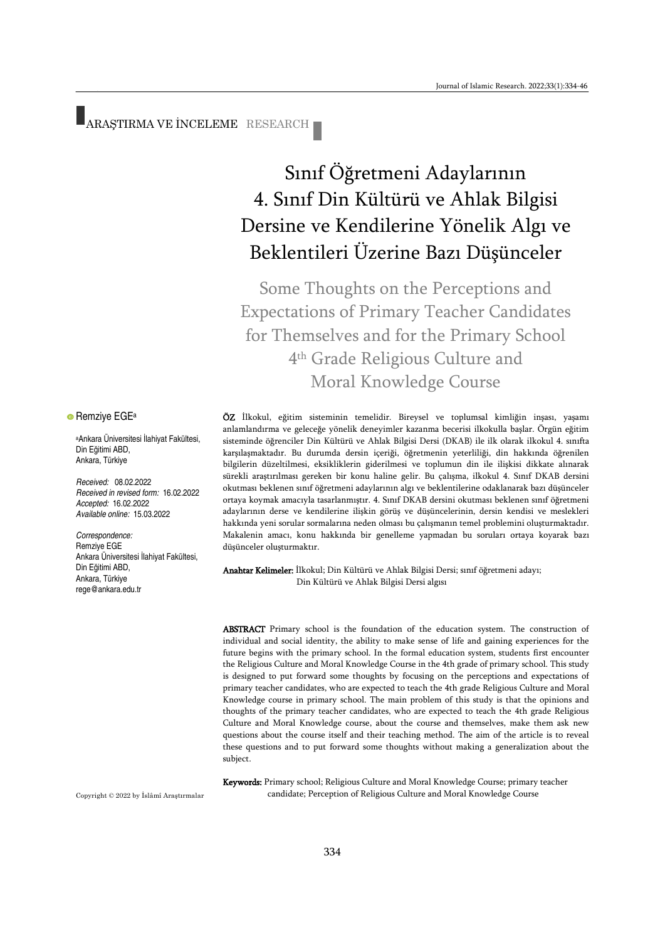ARAŞTIRMA VE İNCELEME RESEARCH

# Sınıf Öğretmeni Adaylarının 4. Sınıf Din Kültürü ve Ahlak Bilgisi Dersine ve Kendilerine Yönelik Algı ve Beklentileri Üzerine Bazı Düşünceler

Some Thoughts on the Perceptions and Expectations of Primary Teacher Candidates for Themselves and for the Primary School 4 th Grade Religious Culture and Moral Knowledge Course

ÖZ İlkokul, eğitim sisteminin temelidir. Bireysel ve toplumsal kimliğin inşası, yaşamı anlamlandırma ve geleceğe yönelik deneyimler kazanma becerisi ilkokulla başlar. Örgün eğitim sisteminde öğrenciler Din Kültürü ve Ahlak Bilgisi Dersi (DKAB) ile ilk olarak ilkokul 4. sınıfta karşılaşmaktadır. Bu durumda dersin içeriği, öğretmenin yeterliliği, din hakkında öğrenilen bilgilerin düzeltilmesi, eksikliklerin giderilmesi ve toplumun din ile ilişkisi dikkate alınarak sürekli araştırılması gereken bir konu haline gelir. Bu çalışma, ilkokul 4. Sınıf DKAB dersini okutması beklenen sınıf öğretmeni adaylarının algı ve beklentilerine odaklanarak bazı düşünceler ortaya koymak amacıyla tasarlanmıştır. 4. Sınıf DKAB dersini okutması beklenen sınıf öğretmeni adaylarının derse ve kendilerine ilişkin görüş ve düşüncelerinin, dersin kendisi ve meslekleri hakkında yeni sorular sormalarına neden olması bu çalışmanın temel problemini oluşturmaktadır. Makalenin amacı, konu hakkında bir genelleme yapmadan bu soruları ortaya koyarak bazı düşünceler oluşturmaktır.

Anahtar Kelimeler: İlkokul; Din Kültürü ve Ahlak Bilgisi Dersi; sınıf öğretmeni adayı; Din Kültürü ve Ahlak Bilgisi Dersi algısı

ABSTRACT Primary school is the foundation of the education system. The construction of individual and social identity, the ability to make sense of life and gaining experiences for the future begins with the primary school. In the formal education system, students first encounter the Religious Culture and Moral Knowledge Course in the 4th grade of primary school. This study is designed to put forward some thoughts by focusing on the perceptions and expectations of primary teacher candidates, who are expected to teach the 4th grade Religious Culture and Moral Knowledge course in primary school. The main problem of this study is that the opinions and thoughts of the primary teacher candidates, who are expected to teach the 4th grade Religious Culture and Moral Knowledge course, about the course and themselves, make them ask new questions about the course itself and their teaching method. The aim of the article is to reveal these questions and to put forward some thoughts without making a generalization about the subject.

Keywords: Primary school; Religious Culture and Moral Knowledge Course; primary teacher candidate; Perception of Religious Culture and Moral Knowledge Course

**• Remziye EGE**<sup>a</sup>

<sup>a</sup>Ankara Üniversitesi İlahiyat Fakültesi, Din Eğitimi ABD, Ankara, Türkiye

*Received:* 08.02.2022 *Received in revised form:* 16.02.2022 *Accepted:* 16.02.2022 *Available online:* 15.03.2022

*Correspondence:* Remziye EGE Ankara Üniversitesi İlahiyat Fakültesi, Din Eğitimi ABD, Ankara, Türkiye rege@ankara.edu.tr

Copyright © 2022 by İslâmî Araştırmalar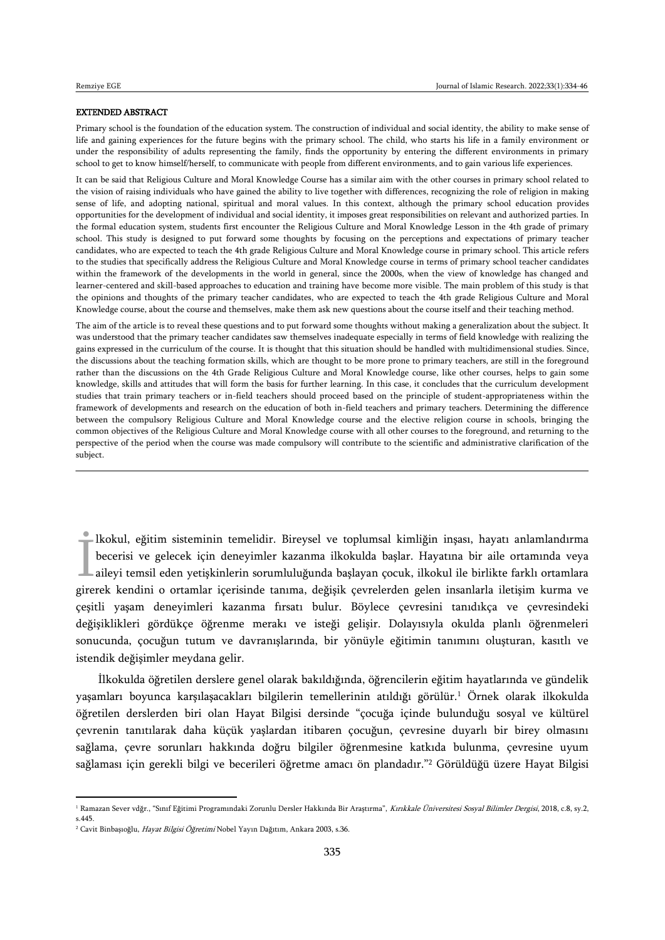#### EXTENDED ABSTRACT

Primary school is the foundation of the education system. The construction of individual and social identity, the ability to make sense of life and gaining experiences for the future begins with the primary school. The child, who starts his life in a family environment or under the responsibility of adults representing the family, finds the opportunity by entering the different environments in primary school to get to know himself/herself, to communicate with people from different environments, and to gain various life experiences.

It can be said that Religious Culture and Moral Knowledge Course has a similar aim with the other courses in primary school related to the vision of raising individuals who have gained the ability to live together with differences, recognizing the role of religion in making sense of life, and adopting national, spiritual and moral values. In this context, although the primary school education provides opportunities for the development of individual and social identity, it imposes great responsibilities on relevant and authorized parties. In the formal education system, students first encounter the Religious Culture and Moral Knowledge Lesson in the 4th grade of primary school. This study is designed to put forward some thoughts by focusing on the perceptions and expectations of primary teacher candidates, who are expected to teach the 4th grade Religious Culture and Moral Knowledge course in primary school. This article refers to the studies that specifically address the Religious Culture and Moral Knowledge course in terms of primary school teacher candidates within the framework of the developments in the world in general, since the 2000s, when the view of knowledge has changed and learner-centered and skill-based approaches to education and training have become more visible. The main problem of this study is that the opinions and thoughts of the primary teacher candidates, who are expected to teach the 4th grade Religious Culture and Moral Knowledge course, about the course and themselves, make them ask new questions about the course itself and their teaching method.

The aim of the article is to reveal these questions and to put forward some thoughts without making a generalization about the subject. It was understood that the primary teacher candidates saw themselves inadequate especially in terms of field knowledge with realizing the gains expressed in the curriculum of the course. It is thought that this situation should be handled with multidimensional studies. Since, the discussions about the teaching formation skills, which are thought to be more prone to primary teachers, are still in the foreground rather than the discussions on the 4th Grade Religious Culture and Moral Knowledge course, like other courses, helps to gain some knowledge, skills and attitudes that will form the basis for further learning. In this case, it concludes that the curriculum development studies that train primary teachers or in-field teachers should proceed based on the principle of student-appropriateness within the framework of developments and research on the education of both in-field teachers and primary teachers. Determining the difference between the compulsory Religious Culture and Moral Knowledge course and the elective religion course in schools, bringing the common objectives of the Religious Culture and Moral Knowledge course with all other courses to the foreground, and returning to the perspective of the period when the course was made compulsory will contribute to the scientific and administrative clarification of the subject.

lkokul, eğitim sisteminin temelidir. Bireysel ve toplumsal kimliğin inşası, hayatı anlamlandırma becerisi ve gelecek için deneyimler kazanma ilkokulda başlar. Hayatına bir aile ortamında veya aileyi temsil eden yetişkinlerin sorumluluğunda başlayan çocuk, ilkokul ile birlikte farklı ortamlara kokul, egitim sisteminin temelidir. Bireysel ve toplumsal kimliğin inşası, nayatı anlamlandırma<br>becerisi ve gelecek için deneyimler kazanma ilkokulda başlar. Hayatına bir aile ortamında veya<br>aileyi temsil eden yetişkinleri çeşitli yaşam deneyimleri kazanma fırsatı bulur. Böylece çevresini tanıdıkça ve çevresindeki değişiklikleri gördükçe öğrenme merakı ve isteği gelişir. Dolayısıyla okulda planlı öğrenmeleri sonucunda, çocuğun tutum ve davranışlarında, bir yönüyle eğitimin tanımını oluşturan, kasıtlı ve istendik değişimler meydana gelir.

İlkokulda öğretilen derslere genel olarak bakıldığında, öğrencilerin eğitim hayatlarında ve gündelik yaşamları boyunca karşılaşacakları bilgilerin temellerinin atıldığı görülür.<sup>1</sup> Örnek olarak ilkokulda öğretilen derslerden biri olan Hayat Bilgisi dersinde "çocuğa içinde bulunduğu sosyal ve kültürel çevrenin tanıtılarak daha küçük yaşlardan itibaren çocuğun, çevresine duyarlı bir birey olmasını sağlama, çevre sorunları hakkında doğru bilgiler öğrenmesine katkıda bulunma, çevresine uyum sağlaması için gerekli bilgi ve becerileri öğretme amacı ön plandadır."<sup>2</sup> Görüldüğü üzere Hayat Bilgisi

 $\overline{a}$ 

<sup>&</sup>lt;sup>1</sup> Ramazan Sever vdğr., "Sınıf Eğitimi Programındaki Zorunlu Dersler Hakkında Bir Araştırma", Kırıkkale Üniversitesi Sosyal Bilimler Dergisi, 2018, c.8, sy.2,

s.445.

<sup>&</sup>lt;sup>2</sup> Cavit Binbaşıoğlu, Hayat Bilgisi Öğretimi Nobel Yayın Dağıtım, Ankara 2003, s.36.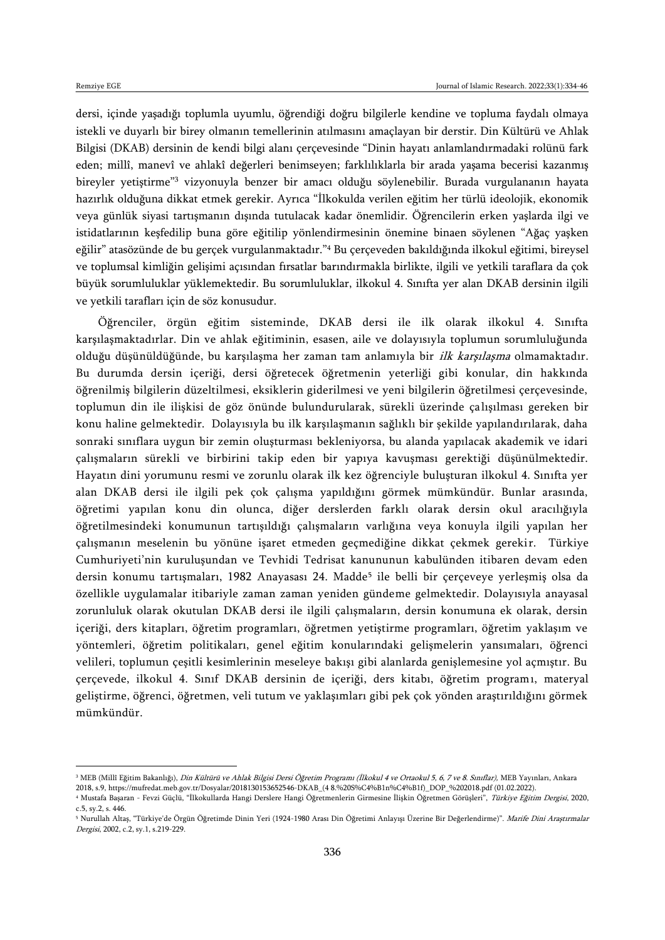dersi, içinde yaşadığı toplumla uyumlu, öğrendiği doğru bilgilerle kendine ve topluma faydalı olmaya istekli ve duyarlı bir birey olmanın temellerinin atılmasını amaçlayan bir derstir. Din Kültürü ve Ahlak Bilgisi (DKAB) dersinin de kendi bilgi alanı çerçevesinde "Dinin hayatı anlamlandırmadaki rolünü fark eden; millî, manevî ve ahlakî değerleri benimseyen; farklılıklarla bir arada yaşama becerisi kazanmış bireyler yetiştirme"<sup>3</sup> vizyonuyla benzer bir amacı olduğu söylenebilir. Burada vurgulananın hayata hazırlık olduğuna dikkat etmek gerekir. Ayrıca "İlkokulda verilen eğitim her türlü ideolojik, ekonomik veya günlük siyasi tartışmanın dışında tutulacak kadar önemlidir. Öğrencilerin erken yaşlarda ilgi ve istidatlarının keşfedilip buna göre eğitilip yönlendirmesinin önemine binaen söylenen "Ağaç yaşken eğilir" atasözünde de bu gerçek vurgulanmaktadır."<sup>4</sup> Bu çerçeveden bakıldığında ilkokul eğitimi, bireysel ve toplumsal kimliğin gelişimi açısından fırsatlar barındırmakla birlikte, ilgili ve yetkili taraflara da çok büyük sorumluluklar yüklemektedir. Bu sorumluluklar, ilkokul 4. Sınıfta yer alan DKAB dersinin ilgili ve yetkili tarafları için de söz konusudur.

Öğrenciler, örgün eğitim sisteminde, DKAB dersi ile ilk olarak ilkokul 4. Sınıfta karşılaşmaktadırlar. Din ve ahlak eğitiminin, esasen, aile ve dolayısıyla toplumun sorumluluğunda olduğu düşünüldüğünde, bu karşılaşma her zaman tam anlamıyla bir ilk karşılaşma olmamaktadır. Bu durumda dersin içeriği, dersi öğretecek öğretmenin yeterliği gibi konular, din hakkında öğrenilmiş bilgilerin düzeltilmesi, eksiklerin giderilmesi ve yeni bilgilerin öğretilmesi çerçevesinde, toplumun din ile ilişkisi de göz önünde bulundurularak, sürekli üzerinde çalışılması gereken bir konu haline gelmektedir. Dolayısıyla bu ilk karşılaşmanın sağlıklı bir şekilde yapılandırılarak, daha sonraki sınıflara uygun bir zemin oluşturması bekleniyorsa, bu alanda yapılacak akademik ve idari çalışmaların sürekli ve birbirini takip eden bir yapıya kavuşması gerektiği düşünülmektedir. Hayatın dini yorumunu resmi ve zorunlu olarak ilk kez öğrenciyle buluşturan ilkokul 4. Sınıfta yer alan DKAB dersi ile ilgili pek çok çalışma yapıldığını görmek mümkündür. Bunlar arasında, öğretimi yapılan konu din olunca, diğer derslerden farklı olarak dersin okul aracılığıyla öğretilmesindeki konumunun tartışıldığı çalışmaların varlığına veya konuyla ilgili yapılan her çalışmanın meselenin bu yönüne işaret etmeden geçmediğine dikkat çekmek gerekir. Türkiye Cumhuriyeti'nin kuruluşundan ve Tevhidi Tedrisat kanununun kabulünden itibaren devam eden dersin konumu tartışmaları, 1982 Anayasası 24. Madde<sup>5</sup> ile belli bir çerçeveye yerleşmiş olsa da özellikle uygulamalar itibariyle zaman zaman yeniden gündeme gelmektedir. Dolayısıyla anayasal zorunluluk olarak okutulan DKAB dersi ile ilgili çalışmaların, dersin konumuna ek olarak, dersin içeriği, ders kitapları, öğretim programları, öğretmen yetiştirme programları, öğretim yaklaşım ve yöntemleri, öğretim politikaları, genel eğitim konularındaki gelişmelerin yansımaları, öğrenci velileri, toplumun çeşitli kesimlerinin meseleye bakışı gibi alanlarda genişlemesine yol açmıştır. Bu çerçevede, ilkokul 4. Sınıf DKAB dersinin de içeriği, ders kitabı, öğretim programı, materyal geliştirme, öğrenci, öğretmen, veli tutum ve yaklaşımları gibi pek çok yönden araştırıldığını görmek mümkündür.

<sup>&</sup>lt;sup>3</sup> MEB (Millî Eğitim Bakanlığı), *Din Kültürü ve Ahlak Bilgisi Dersi Öğretim Programı (İlkokul 4 ve Ortaokul 5, 6, 7 ve 8. Sınıflar),* MEB Yayınları, Ankara 2018, s.9[, https://mufredat.meb.gov.tr/Dosyalar/2018130153652546-DKAB\\_\(4 8.%20S%C4%B1n%C4%B1f\)\\_DOP\\_%202018.pdf](https://mufredat.meb.gov.tr/Dosyalar/2018130153652546-DKAB_(4%208.%20S%C4%B1n%C4%B1f)_DOP_%202018.pdf) (01.02.2022).

<sup>4</sup> Mustafa Başaran - Fevzi Güçlü, "İlkokullarda Hangi Derslere Hangi Öğretmenlerin Girmesine İlişkin Öğretmen Görüşleri", Türkiye Eğitim Dergisi, 2020, c.5, sy.2, s. 446.

<sup>&</sup>lt;sup>5</sup> Nurullah Altaş, "Türkiye'de Örgün Öğretimde Dinin Yeri (1924-1980 Arası Din Öğretimi Anlayışı Üzerine Bir Değerlendirme)". *Marife Dini Araştırmalar* Dergisi, 2002, c.2, sy.1, s.219-229.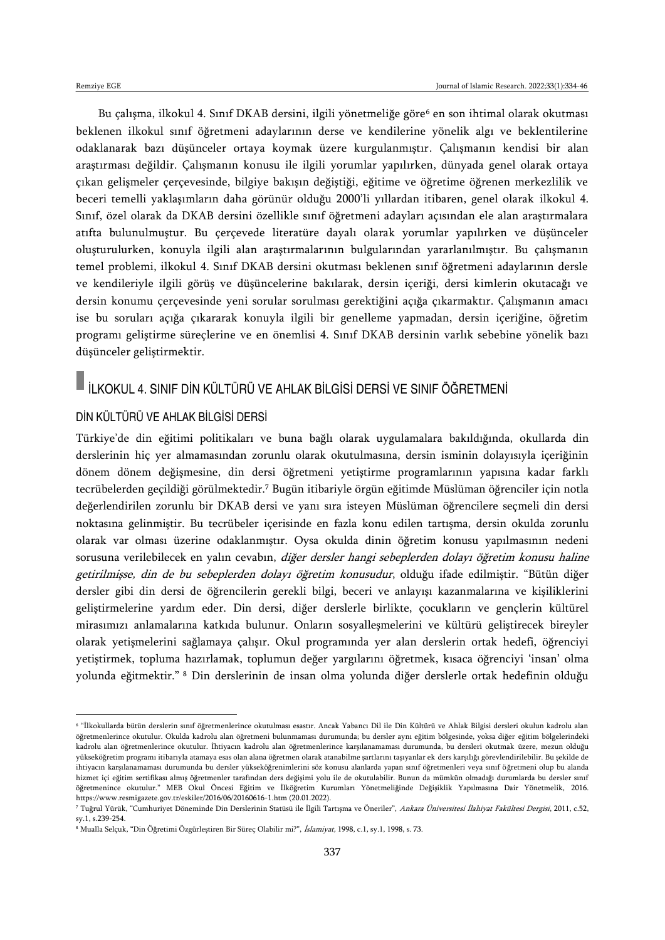Bu çalışma, ilkokul 4. Sınıf DKAB dersini, ilgili yönetmeliğe göre<sup>6</sup> en son ihtimal olarak okutması beklenen ilkokul sınıf öğretmeni adaylarının derse ve kendilerine yönelik algı ve beklentilerine odaklanarak bazı düşünceler ortaya koymak üzere kurgulanmıştır. Çalışmanın kendisi bir alan araştırması değildir. Çalışmanın konusu ile ilgili yorumlar yapılırken, dünyada genel olarak ortaya çıkan gelişmeler çerçevesinde, bilgiye bakışın değiştiği, eğitime ve öğretime öğrenen merkezlilik ve beceri temelli yaklaşımların daha görünür olduğu 2000'li yıllardan itibaren, genel olarak ilkokul 4. Sınıf, özel olarak da DKAB dersini özellikle sınıf öğretmeni adayları açısından ele alan araştırmalara atıfta bulunulmuştur. Bu çerçevede literatüre dayalı olarak yorumlar yapılırken ve düşünceler oluşturulurken, konuyla ilgili alan araştırmalarının bulgularından yararlanılmıştır. Bu çalışmanın temel problemi, ilkokul 4. Sınıf DKAB dersini okutması beklenen sınıf öğretmeni adaylarının dersle ve kendileriyle ilgili görüş ve düşüncelerine bakılarak, dersin içeriği, dersi kimlerin okutacağı ve dersin konumu çerçevesinde yeni sorular sorulması gerektiğini açığa çıkarmaktır. Çalışmanın amacı ise bu soruları açığa çıkararak konuyla ilgili bir genelleme yapmadan, dersin içeriğine, öğretim programı geliştirme süreçlerine ve en önemlisi 4. Sınıf DKAB dersinin varlık sebebine yönelik bazı düşünceler geliştirmektir.

# $\blacksquare$  İLKOKUL 4. SINIF DİN KÜLTÜRÜ VE AHLAK BİLGİSİ DERSİ VE SINIF ÖĞRETMENİ

#### DİN KÜLTÜRÜ VE AHLAK BİLGİSİ DERSİ

Türkiye'de din eğitimi politikaları ve buna bağlı olarak uygulamalara bakıldığında, okullarda din derslerinin hiç yer almamasından zorunlu olarak okutulmasına, dersin isminin dolayısıyla içeriğinin dönem dönem değişmesine, din dersi öğretmeni yetiştirme programlarının yapısına kadar farklı tecrübelerden geçildiği görülmektedir.<sup>7</sup> Bugün itibariyle örgün eğitimde Müslüman öğrenciler için notla değerlendirilen zorunlu bir DKAB dersi ve yanı sıra isteyen Müslüman öğrencilere seçmeli din dersi noktasına gelinmiştir. Bu tecrübeler içerisinde en fazla konu edilen tartışma, dersin okulda zorunlu olarak var olması üzerine odaklanmıştır. Oysa okulda dinin öğretim konusu yapılmasının nedeni sorusuna verilebilecek en yalın cevabın, diğer dersler hangi sebeplerden dolayı öğretim konusu haline getirilmişse, din de bu sebeplerden dolayı öğretim konusudur, olduğu ifade edilmiştir. "Bütün diğer dersler gibi din dersi de öğrencilerin gerekli bilgi, beceri ve anlayışı kazanmalarına ve kişiliklerini geliştirmelerine yardım eder. Din dersi, diğer derslerle birlikte, çocukların ve gençlerin kültürel mirasımızı anlamalarına katkıda bulunur. Onların sosyalleşmelerini ve kültürü geliştirecek bireyler olarak yetişmelerini sağlamaya çalışır. Okul programında yer alan derslerin ortak hedefi, öğrenciyi yetiştirmek, topluma hazırlamak, toplumun değer yargılarını öğretmek, kısaca öğrenciyi 'insan' olma yolunda eğitmektir." <sup>8</sup> Din derslerinin de insan olma yolunda diğer derslerle ortak hedefinin olduğu

<sup>6</sup> "İlkokullarda bütün derslerin sınıf öğretmenlerince okutulması esastır. Ancak Yabancı Dil ile Din Kültürü ve Ahlak Bilgisi dersleri okulun kadrolu alan öğretmenlerince okutulur. Okulda kadrolu alan öğretmeni bulunmaması durumunda; bu dersler aynı eğitim bölgesinde, yoksa diğer eğitim bölgelerindeki kadrolu alan öğretmenlerince okutulur. İhtiyacın kadrolu alan öğretmenlerince karşılanamaması durumunda, bu dersleri okutmak üzere, mezun olduğu yükseköğretim programı itibarıyla atamaya esas olan alana öğretmen olarak atanabilme şartlarını taşıyanlar ek ders karşılığı görevlendirilebilir. Bu şekilde de ihtiyacın karşılanamaması durumunda bu dersler yükseköğrenimlerini söz konusu alanlarda yapan sınıf öğretmenleri veya sınıf öğretmeni olup bu alanda hizmet içi eğitim sertifikası almış öğretmenler tarafından ders değişimi yolu ile de okutulabilir. Bunun da mümkün olmadığı durumlarda bu dersler sınıf öğretmenince okutulur." MEB Okul Öncesi Eğitim ve İlköğretim Kurumları Yönetmeliğinde Değişiklik Yapılmasına Dair Yönetmelik, 2016. <https://www.resmigazete.gov.tr/eskiler/2016/06/20160616-1.htm> (20.01.2022).

<sup>7</sup> Tuğrul Yürük, "Cumhuriyet Döneminde Din Derslerinin Statüsü ile İlgili Tartışma ve Öneriler", Ankara Üniversitesi İlahiyat Fakültesi Dergisi, 2011, c.52, sy.1, s.239-254.

<sup>8</sup> Mualla Selçuk, "Din Öğretimi Özgürleştiren Bir Süreç Olabilir mi?", İslamiyat, 1998, c.1, sy.1, 1998, s. 73.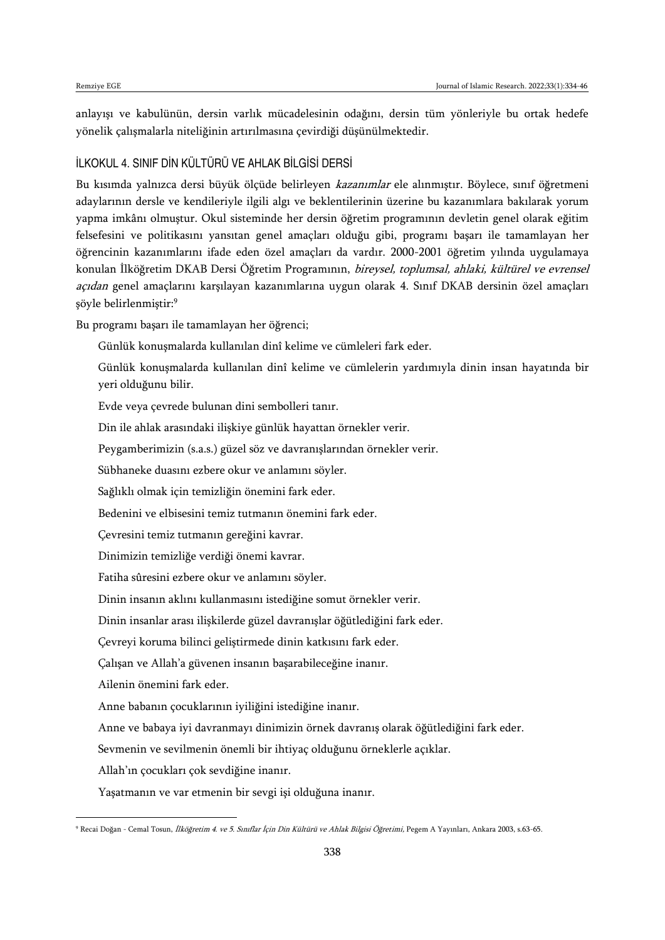anlayışı ve kabulünün, dersin varlık mücadelesinin odağını, dersin tüm yönleriyle bu ortak hedefe yönelik çalışmalarla niteliğinin artırılmasına çevirdiği düşünülmektedir.

#### İLKOKUL 4. SINIF DİN KÜLTÜRÜ VE AHLAK BİLGİSİ DERSİ

Bu kısımda yalnızca dersi büyük ölçüde belirleyen kazanımlar ele alınmıştır. Böylece, sınıf öğretmeni adaylarının dersle ve kendileriyle ilgili algı ve beklentilerinin üzerine bu kazanımlara bakılarak yorum yapma imkânı olmuştur. Okul sisteminde her dersin öğretim programının devletin genel olarak eğitim felsefesini ve politikasını yansıtan genel amaçları olduğu gibi, programı başarı ile tamamlayan her öğrencinin kazanımlarını ifade eden özel amaçları da vardır. 2000-2001 öğretim yılında uygulamaya konulan İlköğretim DKAB Dersi Öğretim Programının, bireysel, toplumsal, ahlaki, kültürel ve evrensel açıdan genel amaçlarını karşılayan kazanımlarına uygun olarak 4. Sınıf DKAB dersinin özel amaçları şöyle belirlenmiştir:<sup>9</sup>

Bu programı başarı ile tamamlayan her öğrenci;

Günlük konuşmalarda kullanılan dinî kelime ve cümleleri fark eder.

Günlük konuşmalarda kullanılan dinî kelime ve cümlelerin yardımıyla dinin insan hayatında bir yeri olduğunu bilir.

Evde veya çevrede bulunan dini sembolleri tanır.

Din ile ahlak arasındaki ilişkiye günlük hayattan örnekler verir.

Peygamberimizin (s.a.s.) güzel söz ve davranışlarından örnekler verir.

Sübhaneke duasını ezbere okur ve anlamını söyler.

Sağlıklı olmak için temizliğin önemini fark eder.

Bedenini ve elbisesini temiz tutmanın önemini fark eder.

Çevresini temiz tutmanın gereğini kavrar.

Dinimizin temizliğe verdiği önemi kavrar.

Fatiha sûresini ezbere okur ve anlamını söyler.

Dinin insanın aklını kullanmasını istediğine somut örnekler verir.

Dinin insanlar arası ilişkilerde güzel davranışlar öğütlediğini fark eder.

Çevreyi koruma bilinci geliştirmede dinin katkısını fark eder.

Çalışan ve Allah'a güvenen insanın başarabileceğine inanır.

Ailenin önemini fark eder.

 $\overline{\phantom{a}}$ 

Anne babanın çocuklarının iyiliğini istediğine inanır.

Anne ve babaya iyi davranmayı dinimizin örnek davranış olarak öğütlediğini fark eder.

Sevmenin ve sevilmenin önemli bir ihtiyaç olduğunu örneklerle açıklar.

Allah'ın çocukları çok sevdiğine inanır.

Yaşatmanın ve var etmenin bir sevgi işi olduğuna inanır.

<sup>9</sup> Recai Doğan - Cemal Tosun, İlköğretim 4. ve 5. Sınıflar İçin Din Kültürü ve Ahlak Bilgisi Öğretimi, Pegem A Yayınları, Ankara 2003, s.63-65.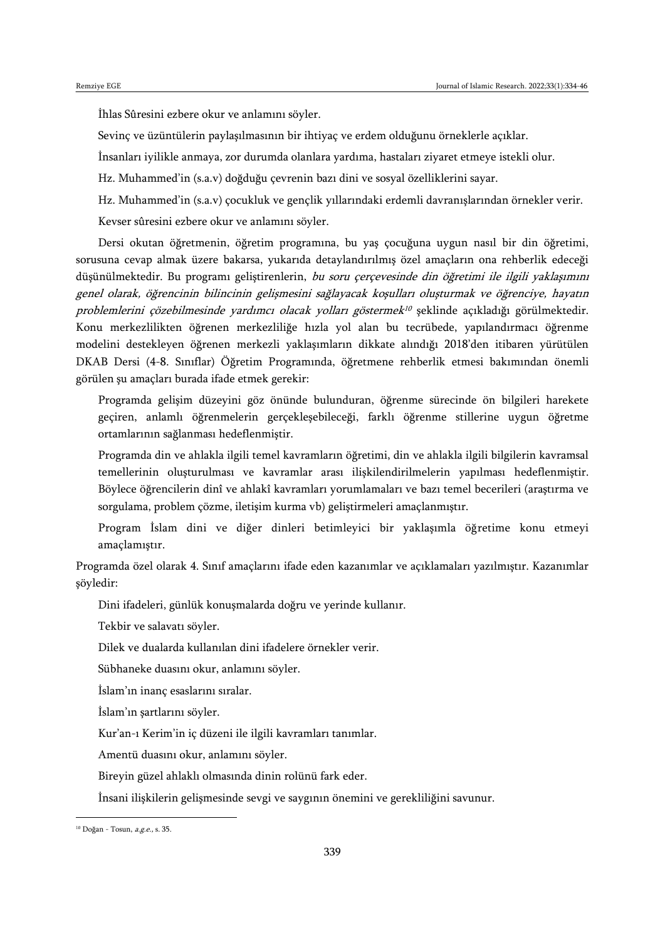İhlas Sûresini ezbere okur ve anlamını söyler.

Sevinç ve üzüntülerin paylaşılmasının bir ihtiyaç ve erdem olduğunu örneklerle açıklar.

İnsanları iyilikle anmaya, zor durumda olanlara yardıma, hastaları ziyaret etmeye istekli olur.

Hz. Muhammed'in (s.a.v) doğduğu çevrenin bazı dini ve sosyal özelliklerini sayar.

Hz. Muhammed'in (s.a.v) çocukluk ve gençlik yıllarındaki erdemli davranışlarından örnekler verir.

Kevser sûresini ezbere okur ve anlamını söyler.

Dersi okutan öğretmenin, öğretim programına, bu yaş çocuğuna uygun nasıl bir din öğretimi, sorusuna cevap almak üzere bakarsa, yukarıda detaylandırılmış özel amaçların ona rehberlik edeceği düşünülmektedir. Bu programı geliştirenlerin, bu soru çerçevesinde din öğretimi ile ilgili yaklaşımını genel olarak, öğrencinin bilincinin gelişmesini sağlayacak koşulları oluşturmak ve öğrenciye, hayatın problemlerini çözebilmesinde yardımcı olacak yolları göstermek 10 şeklinde açıkladığı görülmektedir. Konu merkezlilikten öğrenen merkezliliğe hızla yol alan bu tecrübede, yapılandırmacı öğrenme modelini destekleyen öğrenen merkezli yaklaşımların dikkate alındığı 2018'den itibaren yürütülen DKAB Dersi (4-8. Sınıflar) Öğretim Programında, öğretmene rehberlik etmesi bakımından önemli görülen şu amaçları burada ifade etmek gerekir:

Programda gelişim düzeyini göz önünde bulunduran, öğrenme sürecinde ön bilgileri harekete geçiren, anlamlı öğrenmelerin gerçekleşebileceği, farklı öğrenme stillerine uygun öğretme ortamlarının sağlanması hedeflenmiştir.

Programda din ve ahlakla ilgili temel kavramların öğretimi, din ve ahlakla ilgili bilgilerin kavramsal temellerinin oluşturulması ve kavramlar arası ilişkilendirilmelerin yapılması hedeflenmiştir. Böylece öğrencilerin dinî ve ahlakî kavramları yorumlamaları ve bazı temel becerileri (araştırma ve sorgulama, problem çözme, iletişim kurma vb) geliştirmeleri amaçlanmıştır.

Program İslam dini ve diğer dinleri betimleyici bir yaklaşımla öğretime konu etmeyi amaçlamıştır.

Programda özel olarak 4. Sınıf amaçlarını ifade eden kazanımlar ve açıklamaları yazılmıştır. Kazanımlar şöyledir:

Dini ifadeleri, günlük konuşmalarda doğru ve yerinde kullanır.

Tekbir ve salavatı söyler.

Dilek ve dualarda kullanılan dini ifadelere örnekler verir.

Sübhaneke duasını okur, anlamını söyler.

İslam'ın inanç esaslarını sıralar.

İslam'ın şartlarını söyler.

Kur'an-ı Kerim'in iç düzeni ile ilgili kavramları tanımlar.

Amentü duasını okur, anlamını söyler.

Bireyin güzel ahlaklı olmasında dinin rolünü fark eder.

İnsani ilişkilerin gelişmesinde sevgi ve saygının önemini ve gerekliliğini savunur.

 $\overline{\phantom{a}}$ 

<sup>&</sup>lt;sup>10</sup> Doğan - Tosun, a.g.e., s. 35.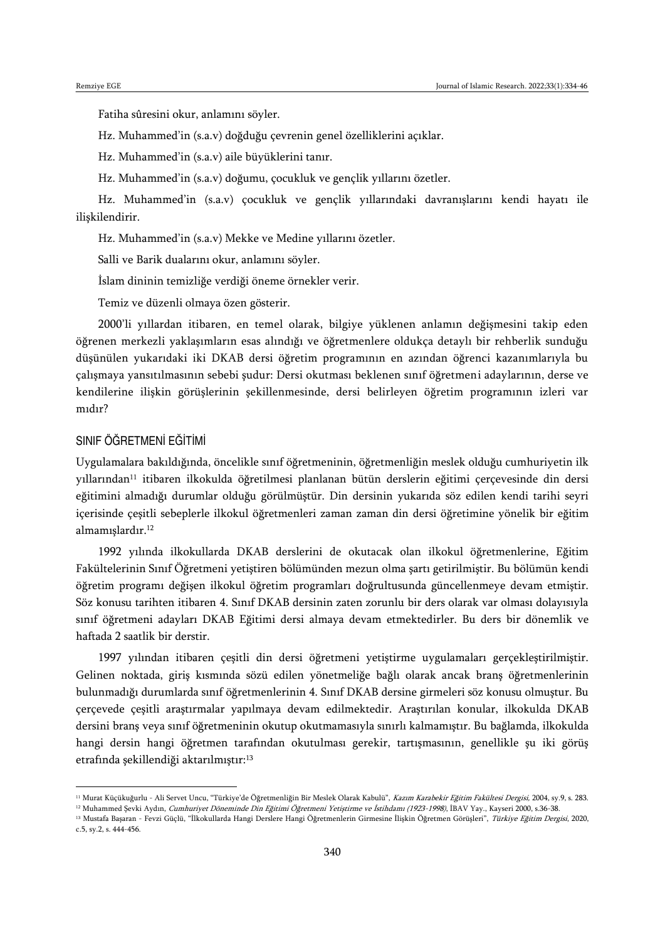Fatiha sûresini okur, anlamını söyler.

Hz. Muhammed'in (s.a.v) doğduğu çevrenin genel özelliklerini açıklar.

Hz. Muhammed'in (s.a.v) aile büyüklerini tanır.

Hz. Muhammed'in (s.a.v) doğumu, çocukluk ve gençlik yıllarını özetler.

Hz. Muhammed'in (s.a.v) çocukluk ve gençlik yıllarındaki davranışlarını kendi hayatı ile ilişkilendirir.

Hz. Muhammed'in (s.a.v) Mekke ve Medine yıllarını özetler.

Salli ve Barik dualarını okur, anlamını söyler.

İslam dininin temizliğe verdiği öneme örnekler verir.

Temiz ve düzenli olmaya özen gösterir.

2000'li yıllardan itibaren, en temel olarak, bilgiye yüklenen anlamın değişmesini takip eden öğrenen merkezli yaklaşımların esas alındığı ve öğretmenlere oldukça detaylı bir rehberlik sunduğu düşünülen yukarıdaki iki DKAB dersi öğretim programının en azından öğrenci kazanımlarıyla bu çalışmaya yansıtılmasının sebebi şudur: Dersi okutması beklenen sınıf öğretmeni adaylarının, derse ve kendilerine ilişkin görüşlerinin şekillenmesinde, dersi belirleyen öğretim programının izleri var mıdır?

#### SINIF ÖĞRETMENİ EĞİTİMİ

 $\overline{\phantom{a}}$ 

Uygulamalara bakıldığında, öncelikle sınıf öğretmeninin, öğretmenliğin meslek olduğu cumhuriyetin ilk yıllarından<sup>11</sup> itibaren ilkokulda öğretilmesi planlanan bütün derslerin eğitimi çerçevesinde din dersi eğitimini almadığı durumlar olduğu görülmüştür. Din dersinin yukarıda söz edilen kendi tarihi seyri içerisinde çeşitli sebeplerle ilkokul öğretmenleri zaman zaman din dersi öğretimine yönelik bir eğitim almamışlardır.<sup>12</sup>

1992 yılında ilkokullarda DKAB derslerini de okutacak olan ilkokul öğretmenlerine, Eğitim Fakültelerinin Sınıf Öğretmeni yetiştiren bölümünden mezun olma şartı getirilmiştir. Bu bölümün kendi öğretim programı değişen ilkokul öğretim programları doğrultusunda güncellenmeye devam etmiştir. Söz konusu tarihten itibaren 4. Sınıf DKAB dersinin zaten zorunlu bir ders olarak var olması dolayısıyla sınıf öğretmeni adayları DKAB Eğitimi dersi almaya devam etmektedirler. Bu ders bir dönemlik ve haftada 2 saatlik bir derstir.

1997 yılından itibaren çeşitli din dersi öğretmeni yetiştirme uygulamaları gerçekleştirilmiştir. Gelinen noktada, giriş kısmında sözü edilen yönetmeliğe bağlı olarak ancak branş öğretmenlerinin bulunmadığı durumlarda sınıf öğretmenlerinin 4. Sınıf DKAB dersine girmeleri söz konusu olmuştur. Bu çerçevede çeşitli araştırmalar yapılmaya devam edilmektedir. Araştırılan konular, ilkokulda DKAB dersini branş veya sınıf öğretmeninin okutup okutmamasıyla sınırlı kalmamıştır. Bu bağlamda, ilkokulda hangi dersin hangi öğretmen tarafından okutulması gerekir, tartışmasının, genellikle şu iki görüş etrafında şekillendiği aktarılmıştır:<sup>13</sup>

<sup>12</sup> Muhammed Şevki Aydın, Cumhuriyet Döneminde Din Eğitimi Öğretmeni Yetiştirme ve İstihdamı (1923-1998), İBAV Yay., Kayseri 2000, s.36-38.

<sup>&</sup>lt;sup>11</sup> Murat Küçükuğurlu - Ali Servet Uncu, "Türkiye'de Öğretmenliğin Bir Meslek Olarak Kabulü", Kazım Karabekir Eğitim Fakültesi Dergisi, 2004, sy.9, s. 283.

<sup>&</sup>lt;sup>13</sup> Mustafa Başaran - Fevzi Güçlü, "İlkokullarda Hangi Derslere Hangi Öğretmenlerin Girmesine İlişkin Öğretmen Görüşleri", Türkiye Eğitim Dergisi, 2020, c.5, sy.2, s. 444-456.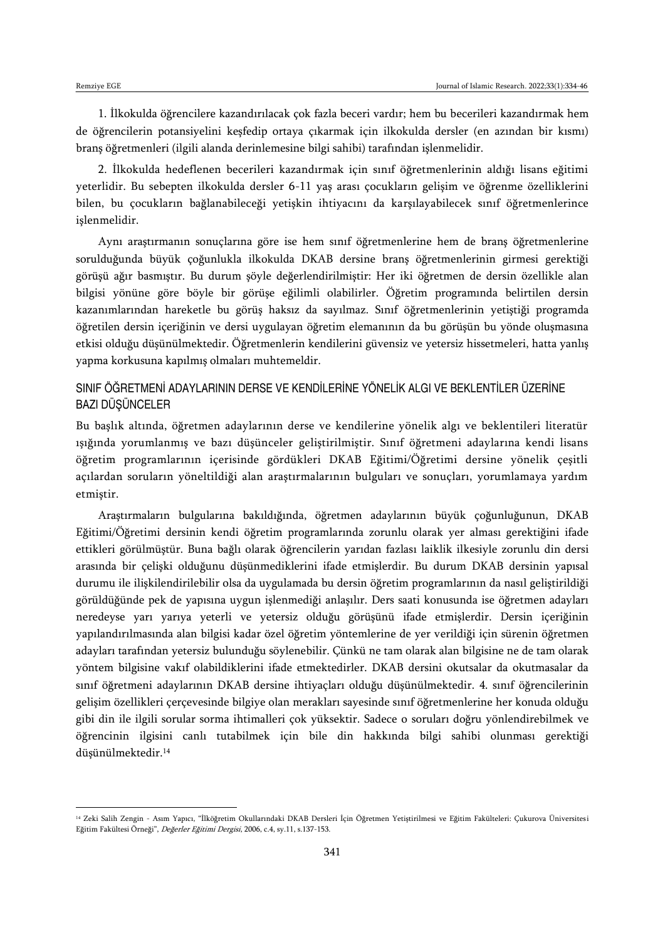1. İlkokulda öğrencilere kazandırılacak çok fazla beceri vardır; hem bu becerileri kazandırmak hem de öğrencilerin potansiyelini keşfedip ortaya çıkarmak için ilkokulda dersler (en azından bir kısmı) branş öğretmenleri (ilgili alanda derinlemesine bilgi sahibi) tarafından işlenmelidir.

2. İlkokulda hedeflenen becerileri kazandırmak için sınıf öğretmenlerinin aldığı lisans eğitimi yeterlidir. Bu sebepten ilkokulda dersler 6-11 yaş arası çocukların gelişim ve öğrenme özelliklerini bilen, bu çocukların bağlanabileceği yetişkin ihtiyacını da karşılayabilecek sınıf öğretmenlerince işlenmelidir.

Aynı araştırmanın sonuçlarına göre ise hem sınıf öğretmenlerine hem de branş öğretmenlerine sorulduğunda büyük çoğunlukla ilkokulda DKAB dersine branş öğretmenlerinin girmesi gerektiği görüşü ağır basmıştır. Bu durum şöyle değerlendirilmiştir: Her iki öğretmen de dersin özellikle alan bilgisi yönüne göre böyle bir görüşe eğilimli olabilirler. Öğretim programında belirtilen dersin kazanımlarından hareketle bu görüş haksız da sayılmaz. Sınıf öğretmenlerinin yetiştiği programda öğretilen dersin içeriğinin ve dersi uygulayan öğretim elemanının da bu görüşün bu yönde oluşmasına etkisi olduğu düşünülmektedir. Öğretmenlerin kendilerini güvensiz ve yetersiz hissetmeleri, hatta yanlış yapma korkusuna kapılmış olmaları muhtemeldir.

### SINIF ÖĞRETMENİ ADAYLARININ DERSE VE KENDİLERİNE YÖNELİK ALGI VE BEKLENTİLER ÜZERİNE BAZI DÜŞÜNCELER

Bu başlık altında, öğretmen adaylarının derse ve kendilerine yönelik algı ve beklentileri literatür ışığında yorumlanmış ve bazı düşünceler geliştirilmiştir. Sınıf öğretmeni adaylarına kendi lisans öğretim programlarının içerisinde gördükleri DKAB Eğitimi/Öğretimi dersine yönelik çeşitli açılardan soruların yöneltildiği alan araştırmalarının bulguları ve sonuçları, yorumlamaya yardım etmiştir.

Araştırmaların bulgularına bakıldığında, öğretmen adaylarının büyük çoğunluğunun, DKAB Eğitimi/Öğretimi dersinin kendi öğretim programlarında zorunlu olarak yer alması gerektiğini ifade ettikleri görülmüştür. Buna bağlı olarak öğrencilerin yarıdan fazlası laiklik ilkesiyle zorunlu din dersi arasında bir çelişki olduğunu düşünmediklerini ifade etmişlerdir. Bu durum DKAB dersinin yapısal durumu ile ilişkilendirilebilir olsa da uygulamada bu dersin öğretim programlarının da nasıl geliştirildiği görüldüğünde pek de yapısına uygun işlenmediği anlaşılır. Ders saati konusunda ise öğretmen adayları neredeyse yarı yarıya yeterli ve yetersiz olduğu görüşünü ifade etmişlerdir. Dersin içeriğinin yapılandırılmasında alan bilgisi kadar özel öğretim yöntemlerine de yer verildiği için sürenin öğretmen adayları tarafından yetersiz bulunduğu söylenebilir. Çünkü ne tam olarak alan bilgisine ne de tam olarak yöntem bilgisine vakıf olabildiklerini ifade etmektedirler. DKAB dersini okutsalar da okutmasalar da sınıf öğretmeni adaylarının DKAB dersine ihtiyaçları olduğu düşünülmektedir. 4. sınıf öğrencilerinin gelişim özellikleri çerçevesinde bilgiye olan merakları sayesinde sınıf öğretmenlerine her konuda olduğu gibi din ile ilgili sorular sorma ihtimalleri çok yüksektir. Sadece o soruları doğru yönlendirebilmek ve öğrencinin ilgisini canlı tutabilmek için bile din hakkında bilgi sahibi olunması gerektiği düşünülmektedir.<sup>14</sup>

<sup>14</sup> Zeki Salih Zengin - Asım Yapıcı, "İlköğretim Okullarındaki DKAB Dersleri İçin Öğretmen Yetiştirilmesi ve Eğitim Fakülteleri: Çukurova Üniversitesi Eğitim Fakültesi Örneği", Değerler Eğitimi Dergisi, 2006, c.4, sy.11, s.137-153.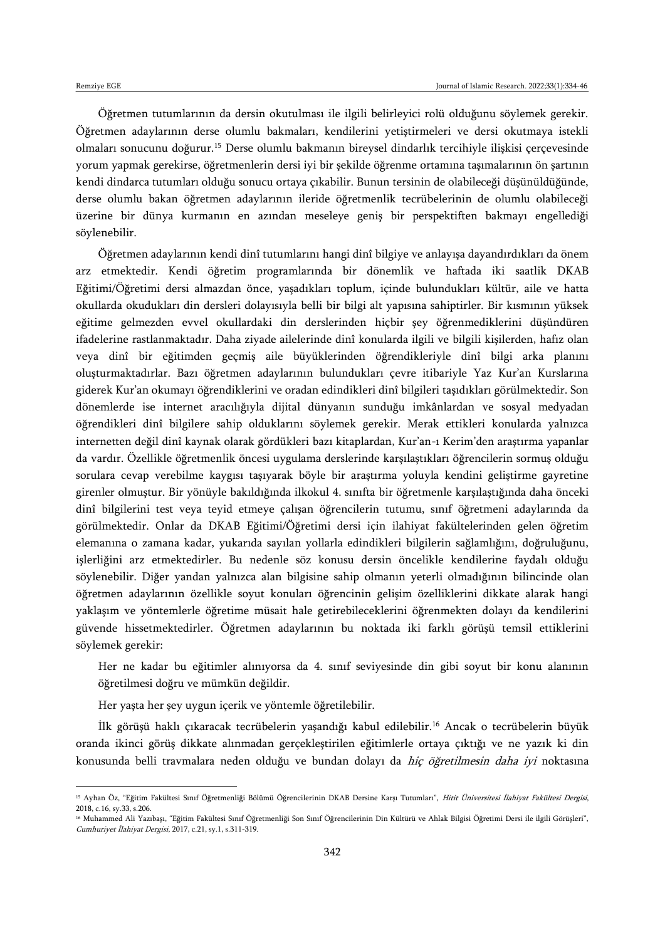$\overline{\phantom{a}}$ 

Öğretmen tutumlarının da dersin okutulması ile ilgili belirleyici rolü olduğunu söylemek gerekir. Öğretmen adaylarının derse olumlu bakmaları, kendilerini yetiştirmeleri ve dersi okutmaya istekli olmaları sonucunu doğurur.<sup>15</sup> Derse olumlu bakmanın bireysel dindarlık tercihiyle ilişkisi çerçevesinde yorum yapmak gerekirse, öğretmenlerin dersi iyi bir şekilde öğrenme ortamına taşımalarının ön şartının kendi dindarca tutumları olduğu sonucu ortaya çıkabilir. Bunun tersinin de olabileceği düşünüldüğünde, derse olumlu bakan öğretmen adaylarının ileride öğretmenlik tecrübelerinin de olumlu olabileceği üzerine bir dünya kurmanın en azından meseleye geniş bir perspektiften bakmayı engellediği söylenebilir.

Öğretmen adaylarının kendi dinî tutumlarını hangi dinî bilgiye ve anlayışa dayandırdıkları da önem arz etmektedir. Kendi öğretim programlarında bir dönemlik ve haftada iki saatlik DKAB Eğitimi/Öğretimi dersi almazdan önce, yaşadıkları toplum, içinde bulundukları kültür, aile ve hatta okullarda okudukları din dersleri dolayısıyla belli bir bilgi alt yapısına sahiptirler. Bir kısmının yüksek eğitime gelmezden evvel okullardaki din derslerinden hiçbir şey öğrenmediklerini düşündüren ifadelerine rastlanmaktadır. Daha ziyade ailelerinde dinî konularda ilgili ve bilgili kişilerden, hafız olan veya dinî bir eğitimden geçmiş aile büyüklerinden öğrendikleriyle dinî bilgi arka planını oluşturmaktadırlar. Bazı öğretmen adaylarının bulundukları çevre itibariyle Yaz Kur'an Kurslarına giderek Kur'an okumayı öğrendiklerini ve oradan edindikleri dinî bilgileri taşıdıkları görülmektedir. Son dönemlerde ise internet aracılığıyla dijital dünyanın sunduğu imkânlardan ve sosyal medyadan öğrendikleri dinî bilgilere sahip olduklarını söylemek gerekir. Merak ettikleri konularda yalnızca internetten değil dinî kaynak olarak gördükleri bazı kitaplardan, Kur'an-ı Kerim'den araştırma yapanlar da vardır. Özellikle öğretmenlik öncesi uygulama derslerinde karşılaştıkları öğrencilerin sormuş olduğu sorulara cevap verebilme kaygısı taşıyarak böyle bir araştırma yoluyla kendini geliştirme gayretine girenler olmuştur. Bir yönüyle bakıldığında ilkokul 4. sınıfta bir öğretmenle karşılaştığında daha önceki dinî bilgilerini test veya teyid etmeye çalışan öğrencilerin tutumu, sınıf öğretmeni adaylarında da görülmektedir. Onlar da DKAB Eğitimi/Öğretimi dersi için ilahiyat fakültelerinden gelen öğretim elemanına o zamana kadar, yukarıda sayılan yollarla edindikleri bilgilerin sağlamlığını, doğruluğunu, işlerliğini arz etmektedirler. Bu nedenle söz konusu dersin öncelikle kendilerine faydalı olduğu söylenebilir. Diğer yandan yalnızca alan bilgisine sahip olmanın yeterli olmadığının bilincinde olan öğretmen adaylarının özellikle soyut konuları öğrencinin gelişim özelliklerini dikkate alarak hangi yaklaşım ve yöntemlerle öğretime müsait hale getirebileceklerini öğrenmekten dolayı da kendilerini güvende hissetmektedirler. Öğretmen adaylarının bu noktada iki farklı görüşü temsil ettiklerini söylemek gerekir:

Her ne kadar bu eğitimler alınıyorsa da 4. sınıf seviyesinde din gibi soyut bir konu alanının öğretilmesi doğru ve mümkün değildir.

Her yaşta her şey uygun içerik ve yöntemle öğretilebilir.

İlk görüşü haklı çıkaracak tecrübelerin yaşandığı kabul edilebilir.<sup>16</sup> Ancak o tecrübelerin büyük oranda ikinci görüş dikkate alınmadan gerçekleştirilen eğitimlerle ortaya çıktığı ve ne yazık ki din konusunda belli travmalara neden olduğu ve bundan dolayı da hiç öğretilmesin daha iyi noktasına

<sup>&</sup>lt;sup>15</sup> Ayhan Öz, "Eğitim Fakültesi Sınıf Öğretmenliği Bölümü Öğrencilerinin DKAB Dersine Karşı Tutumları", Hitit Üniversitesi İlahiyat Fakültesi Dergisi, 2018, c.16, sy.33, s.206.

<sup>16</sup> Muhammed Ali Yazıbaşı, "Eğitim Fakültesi Sınıf Öğretmenliği Son Sınıf Öğrencilerinin Din Kültürü ve Ahlak Bilgisi Öğretimi Dersi ile ilgili Görüşleri", Cumhuriyet İlahiyat Dergisi, 2017, c.21, sy.1, s.311-319.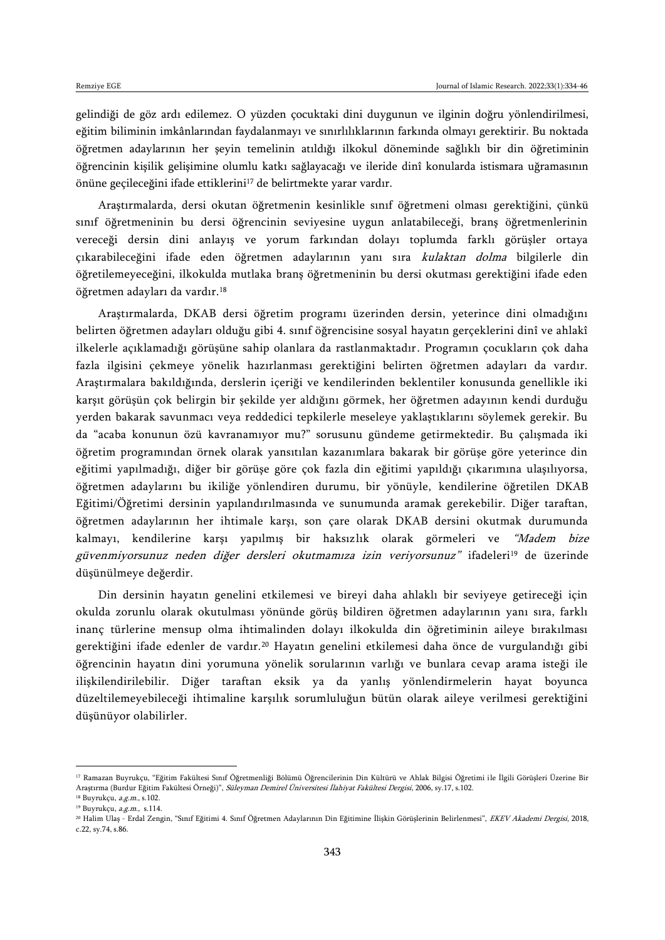gelindiği de göz ardı edilemez. O yüzden çocuktaki dini duygunun ve ilginin doğru yönlendirilmesi, eğitim biliminin imkânlarından faydalanmayı ve sınırlılıklarının farkında olmayı gerektirir. Bu noktada öğretmen adaylarının her şeyin temelinin atıldığı ilkokul döneminde sağlıklı bir din öğretiminin öğrencinin kişilik gelişimine olumlu katkı sağlayacağı ve ileride dinî konularda istismara uğramasının önüne geçileceğini ifade ettiklerini<sup>17</sup> de belirtmekte yarar vardır.

Araştırmalarda, dersi okutan öğretmenin kesinlikle sınıf öğretmeni olması gerektiğini, çünkü sınıf öğretmeninin bu dersi öğrencinin seviyesine uygun anlatabileceği, branş öğretmenlerinin vereceği dersin dini anlayış ve yorum farkından dolayı toplumda farklı görüşler ortaya çıkarabileceğini ifade eden öğretmen adaylarının yanı sıra kulaktan dolma bilgilerle din öğretilemeyeceğini, ilkokulda mutlaka branş öğretmeninin bu dersi okutması gerektiğini ifade eden öğretmen adayları da vardır.<sup>18</sup>

Araştırmalarda, DKAB dersi öğretim programı üzerinden dersin, yeterince dini olmadığını belirten öğretmen adayları olduğu gibi 4. sınıf öğrencisine sosyal hayatın gerçeklerini dinî ve ahlakî ilkelerle açıklamadığı görüşüne sahip olanlara da rastlanmaktadır. Programın çocukların çok daha fazla ilgisini çekmeye yönelik hazırlanması gerektiğini belirten öğretmen adayları da vardır. Araştırmalara bakıldığında, derslerin içeriği ve kendilerinden beklentiler konusunda genellikle iki karşıt görüşün çok belirgin bir şekilde yer aldığını görmek, her öğretmen adayının kendi durduğu yerden bakarak savunmacı veya reddedici tepkilerle meseleye yaklaştıklarını söylemek gerekir. Bu da "acaba konunun özü kavranamıyor mu?" sorusunu gündeme getirmektedir. Bu çalışmada iki öğretim programından örnek olarak yansıtılan kazanımlara bakarak bir görüşe göre yeterince din eğitimi yapılmadığı, diğer bir görüşe göre çok fazla din eğitimi yapıldığı çıkarımına ulaşılıyorsa, öğretmen adaylarını bu ikiliğe yönlendiren durumu, bir yönüyle, kendilerine öğretilen DKAB Eğitimi/Öğretimi dersinin yapılandırılmasında ve sunumunda aramak gerekebilir. Diğer taraftan, öğretmen adaylarının her ihtimale karşı, son çare olarak DKAB dersini okutmak durumunda kalmayı, kendilerine karşı yapılmış bir haksızlık olarak görmeleri ve "Madem bize güvenmiyorsunuz neden diğer dersleri okutmamıza izin veriyorsunuz" ifadeleri<sup>19</sup> de üzerinde düşünülmeye değerdir.

Din dersinin hayatın genelini etkilemesi ve bireyi daha ahlaklı bir seviyeye getireceği için okulda zorunlu olarak okutulması yönünde görüş bildiren öğretmen adaylarının yanı sıra, farklı inanç türlerine mensup olma ihtimalinden dolayı ilkokulda din öğretiminin aileye bırakılması gerektiğini ifade edenler de vardır.<sup>20</sup> Hayatın genelini etkilemesi daha önce de vurgulandığı gibi öğrencinin hayatın dini yorumuna yönelik sorularının varlığı ve bunlara cevap arama isteği ile ilişkilendirilebilir. Diğer taraftan eksik ya da yanlış yönlendirmelerin hayat boyunca düzeltilemeyebileceği ihtimaline karşılık sorumluluğun bütün olarak aileye verilmesi gerektiğini düşünüyor olabilirler.

 $\overline{a}$ 

<sup>17</sup> Ramazan Buyrukçu, "Eğitim Fakültesi Sınıf Öğretmenliği Bölümü Öğrencilerinin Din Kültürü ve Ahlak Bilgisi Öğretimi ile İlgili Görüşleri Üzerine Bir Araştırma (Burdur Eğitim Fakültesi Örneği)", Süleyman Demirel Üniversitesi İlahiyat Fakültesi Dergisi, 2006, sy.17, s.102.

<sup>18</sup> Buyrukçu, a.g.m., s.102.

<sup>19</sup> Buyrukçu, a.g.m., s.114.

<sup>&</sup>lt;sup>20</sup> Halim Ulaş - Erdal Zengin, "Sınıf Eğitimi 4. Sınıf Öğretmen Adaylarının Din Eğitimine İlişkin Görüşlerinin Belirlenmesi", EKEV Akademi Dergisi, 2018, c.22, sy.74, s.86.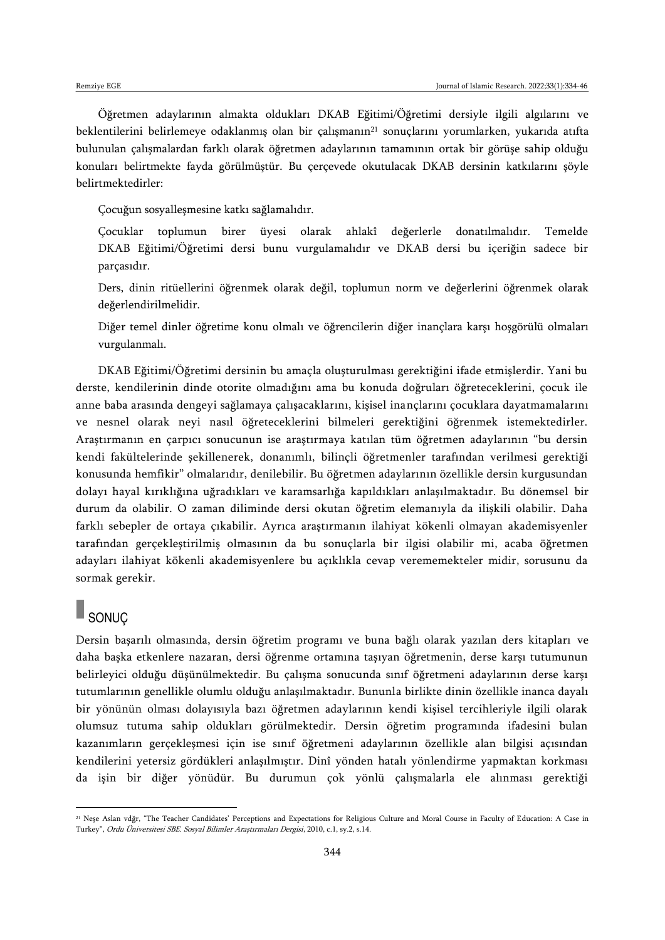Öğretmen adaylarının almakta oldukları DKAB Eğitimi/Öğretimi dersiyle ilgili algılarını ve beklentilerini belirlemeye odaklanmış olan bir çalışmanın<sup>21</sup> sonuçlarını yorumlarken, yukarıda atıfta bulunulan çalışmalardan farklı olarak öğretmen adaylarının tamamının ortak bir görüşe sahip olduğu konuları belirtmekte fayda görülmüştür. Bu çerçevede okutulacak DKAB dersinin katkılarını şöyle belirtmektedirler:

Çocuğun sosyalleşmesine katkı sağlamalıdır.

Çocuklar toplumun birer üyesi olarak ahlakî değerlerle donatılmalıdır. Temelde DKAB Eğitimi/Öğretimi dersi bunu vurgulamalıdır ve DKAB dersi bu içeriğin sadece bir parçasıdır.

Ders, dinin ritüellerini öğrenmek olarak değil, toplumun norm ve değerlerini öğrenmek olarak değerlendirilmelidir.

Diğer temel dinler öğretime konu olmalı ve öğrencilerin diğer inançlara karşı hoşgörülü olmaları vurgulanmalı.

DKAB Eğitimi/Öğretimi dersinin bu amaçla oluşturulması gerektiğini ifade etmişlerdir. Yani bu derste, kendilerinin dinde otorite olmadığını ama bu konuda doğruları öğreteceklerini, çocuk ile anne baba arasında dengeyi sağlamaya çalışacaklarını, kişisel inançlarını çocuklara dayatmamalarını ve nesnel olarak neyi nasıl öğreteceklerini bilmeleri gerektiğini öğrenmek istemektedirler. Araştırmanın en çarpıcı sonucunun ise araştırmaya katılan tüm öğretmen adaylarının "bu dersin kendi fakültelerinde şekillenerek, donanımlı, bilinçli öğretmenler tarafından verilmesi gerektiği konusunda hemfikir" olmalarıdır, denilebilir. Bu öğretmen adaylarının özellikle dersin kurgusundan dolayı hayal kırıklığına uğradıkları ve karamsarlığa kapıldıkları anlaşılmaktadır. Bu dönemsel bir durum da olabilir. O zaman diliminde dersi okutan öğretim elemanıyla da ilişkili olabilir. Daha farklı sebepler de ortaya çıkabilir. Ayrıca araştırmanın ilahiyat kökenli olmayan akademisyenler tarafından gerçekleştirilmiş olmasının da bu sonuçlarla bir ilgisi olabilir mi, acaba öğretmen adayları ilahiyat kökenli akademisyenlere bu açıklıkla cevap verememekteler midir, sorusunu da sormak gerekir.

## SONUÇ

 $\overline{a}$ 

Dersin başarılı olmasında, dersin öğretim programı ve buna bağlı olarak yazılan ders kitapları ve daha başka etkenlere nazaran, dersi öğrenme ortamına taşıyan öğretmenin, derse karşı tutumunun belirleyici olduğu düşünülmektedir. Bu çalışma sonucunda sınıf öğretmeni adaylarının derse karşı tutumlarının genellikle olumlu olduğu anlaşılmaktadır. Bununla birlikte dinin özellikle inanca dayalı bir yönünün olması dolayısıyla bazı öğretmen adaylarının kendi kişisel tercihleriyle ilgili olarak olumsuz tutuma sahip oldukları görülmektedir. Dersin öğretim programında ifadesini bulan kazanımların gerçekleşmesi için ise sınıf öğretmeni adaylarının özellikle alan bilgisi açısından kendilerini yetersiz gördükleri anlaşılmıştır. Dinî yönden hatalı yönlendirme yapmaktan korkması da işin bir diğer yönüdür. Bu durumun çok yönlü çalışmalarla ele alınması gerektiği

<sup>21</sup> Neşe Aslan vdğr, "The Teacher Candidates' Perceptions and Expectations for Religious Culture and Moral Course in Faculty of Education: A Case in Turkey", Ordu Üniversitesi SBE. Sosyal Bilimler Araştırmaları Dergisi, 2010, c.1, sy.2, s.14.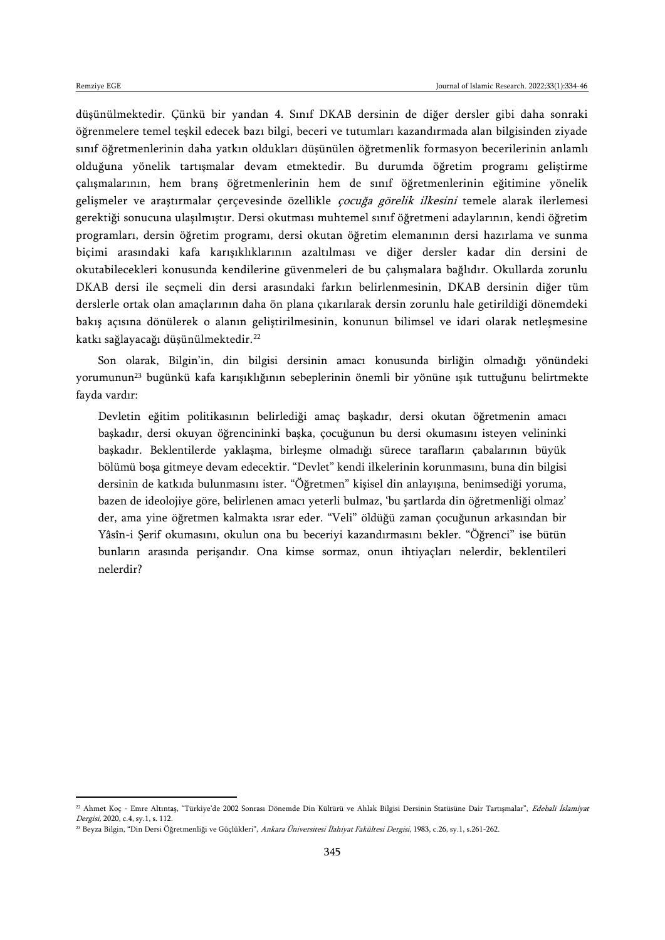düşünülmektedir. Çünkü bir yandan 4. Sınıf DKAB dersinin de diğer dersler gibi daha sonraki öğrenmelere temel teşkil edecek bazı bilgi, beceri ve tutumları kazandırmada alan bilgisinden ziyade sınıf öğretmenlerinin daha yatkın oldukları düşünülen öğretmenlik formasyon becerilerinin anlamlı olduğuna yönelik tartışmalar devam etmektedir. Bu durumda öğretim programı geliştirme çalışmalarının, hem branş öğretmenlerinin hem de sınıf öğretmenlerinin eğitimine yönelik gelişmeler ve araştırmalar çerçevesinde özellikle *çocuğa görelik ilkesini* temele alarak ilerlemesi gerektiği sonucuna ulaşılmıştır. Dersi okutması muhtemel sınıf öğretmeni adaylarının, kendi öğretim programları, dersin öğretim programı, dersi okutan öğretim elemanının dersi hazırlama ve sunma biçimi arasındaki kafa karışıklıklarının azaltılması ve diğer dersler kadar din dersini de okutabilecekleri konusunda kendilerine güvenmeleri de bu çalışmalara bağlıdır. Okullarda zorunlu DKAB dersi ile seçmeli din dersi arasındaki farkın belirlenmesinin, DKAB dersinin diğer tüm derslerle ortak olan amaçlarının daha ön plana çıkarılarak dersin zorunlu hale getirildiği dönemdeki bakış açısına dönülerek o alanın geliştirilmesinin, konunun bilimsel ve idari olarak netleşmesine katkı sağlayacağı düşünülmektedir.<sup>22</sup>

Son olarak, Bilgin'in, din bilgisi dersinin amacı konusunda birliğin olmadığı yönündeki yorumunun<sup>23</sup> bugünkü kafa karışıklığının sebeplerinin önemli bir yönüne ışık tuttuğunu belirtmekte fayda vardır:

Devletin eğitim politikasının belirlediği amaç başkadır, dersi okutan öğretmenin amacı başkadır, dersi okuyan öğrencininki başka, çocuğunun bu dersi okumasını isteyen velininki başkadır. Beklentilerde yaklaşma, birleşme olmadığı sürece tarafların çabalarının büyük bölümü boşa gitmeye devam edecektir. "Devlet" kendi ilkelerinin korunmasını, buna din bilgisi dersinin de katkıda bulunmasını ister. "Öğretmen" kişisel din anlayışına, benimsediği yoruma, bazen de ideolojiye göre, belirlenen amacı yeterli bulmaz, 'bu şartlarda din öğretmenliği olmaz' der, ama yine öğretmen kalmakta ısrar eder. "Veli" öldüğü zaman çocuğunun arkasından bir Yâsîn-i Şerif okumasını, okulun ona bu beceriyi kazandırmasını bekler. "Öğrenci" ise bütün bunların arasında perişandır. Ona kimse sormaz, onun ihtiyaçları nelerdir, beklentileri nelerdir?

<sup>&</sup>lt;sup>22</sup> Ahmet Koç - Emre Altıntaş, "Türkiye'de 2002 Sonrası Dönemde Din Kültürü ve Ahlak Bilgisi Dersinin Statüsüne Dair Tartışmalar", Edebali İslamiyat Dergisi, 2020, c.4, sy.1, s. 112.

<sup>&</sup>lt;sup>23</sup> Beyza Bilgin, "Din Dersi Öğretmenliği ve Güçlükleri", Ankara Üniversitesi İlahiyat Fakültesi Dergisi, 1983, c.26, sy.1, s.261-262.